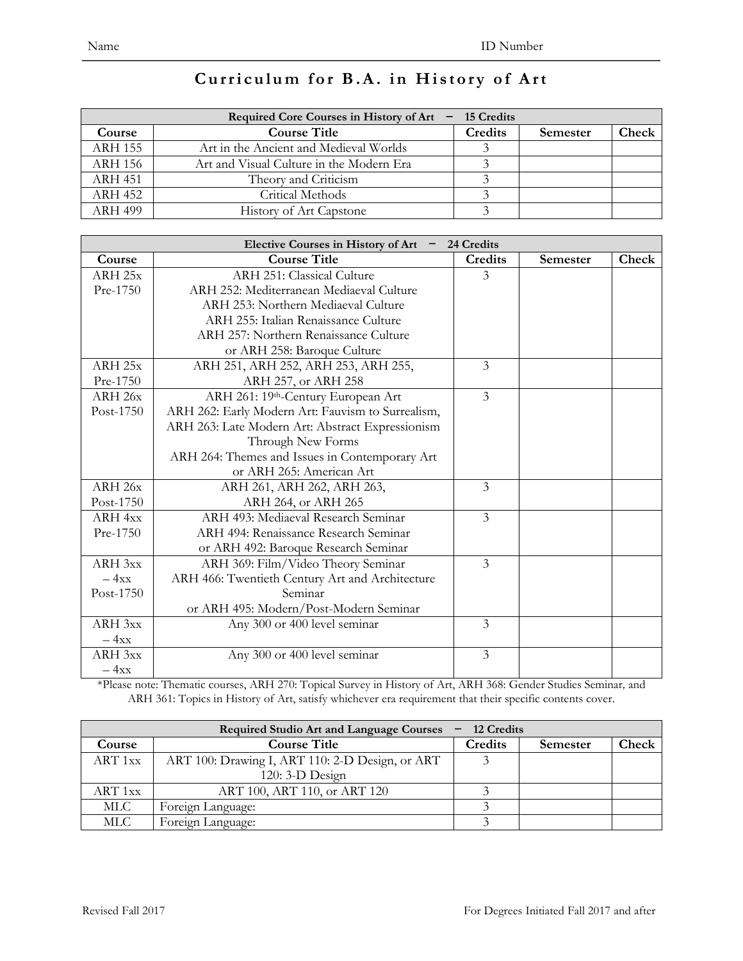| Required Core Courses in History of Art $-15$ Credits |                                          |         |          |       |
|-------------------------------------------------------|------------------------------------------|---------|----------|-------|
| Course                                                | <b>Course Title</b>                      | Credits | Semester | Check |
| <b>ARH 155</b>                                        | Art in the Ancient and Medieval Worlds   |         |          |       |
| ARH 156                                               | Art and Visual Culture in the Modern Era |         |          |       |
| <b>ARH 451</b>                                        | Theory and Criticism                     |         |          |       |
| <b>ARH 452</b>                                        | Critical Methods                         |         |          |       |
| <b>ARH 499</b>                                        | <b>History of Art Capstone</b>           |         |          |       |

#### **Curriculum for B.A. in History of Art**

|                    | <b>Elective Courses in History of Art</b>         | 24 Credits     |          |       |
|--------------------|---------------------------------------------------|----------------|----------|-------|
| Course             | <b>Course Title</b>                               | <b>Credits</b> | Semester | Check |
| ARH <sub>25x</sub> | ARH 251: Classical Culture                        | 3              |          |       |
| Pre-1750           | ARH 252: Mediterranean Mediaeval Culture          |                |          |       |
|                    | ARH 253: Northern Mediaeval Culture               |                |          |       |
|                    | ARH 255: Italian Renaissance Culture              |                |          |       |
|                    | ARH 257: Northern Renaissance Culture             |                |          |       |
|                    | or ARH 258: Baroque Culture                       |                |          |       |
| ARH <sub>25x</sub> | ARH 251, ARH 252, ARH 253, ARH 255,               | 3              |          |       |
| Pre-1750           | ARH 257, or ARH 258                               |                |          |       |
| ARH 26x            | ARH 261: 19th-Century European Art                | $\overline{3}$ |          |       |
| Post-1750          | ARH 262: Early Modern Art: Fauvism to Surrealism, |                |          |       |
|                    | ARH 263: Late Modern Art: Abstract Expressionism  |                |          |       |
|                    | Through New Forms                                 |                |          |       |
|                    | ARH 264: Themes and Issues in Contemporary Art    |                |          |       |
|                    | or ARH 265: American Art                          |                |          |       |
| ARH <sub>26x</sub> | ARH 261, ARH 262, ARH 263,                        | 3              |          |       |
| Post-1750          | ARH 264, or ARH 265                               |                |          |       |
| $ARH$ 4xx          | ARH 493: Mediaeval Research Seminar               | 3              |          |       |
| Pre-1750           | ARH 494: Renaissance Research Seminar             |                |          |       |
|                    | or ARH 492: Baroque Research Seminar              |                |          |       |
| ARH 3xx            | ARH 369: Film/Video Theory Seminar                | 3              |          |       |
| $-4xx$             | ARH 466: Twentieth Century Art and Architecture   |                |          |       |
| Post-1750          | Seminar                                           |                |          |       |
|                    | or ARH 495: Modern/Post-Modern Seminar            |                |          |       |
| ARH 3xx            | Any 300 or 400 level seminar                      | 3              |          |       |
| $-4xx$             |                                                   |                |          |       |
| ARH 3xx            | Any 300 or 400 level seminar                      | $\overline{3}$ |          |       |
| $-4xx$             |                                                   |                |          |       |

\*Please note: Thematic courses, ARH 270: Topical Survey in History of Art, ARH 368: Gender Studies Seminar*,* and ARH 361: Topics in History of Art, satisfy whichever era requirement that their specific contents cover.

| <b>Required Studio Art and Language Courses</b><br>12 Credits |                                                 |         |          |       |
|---------------------------------------------------------------|-------------------------------------------------|---------|----------|-------|
| Course                                                        | <b>Course Title</b>                             | Credits | Semester | Check |
| ART 1xx                                                       | ART 100: Drawing I, ART 110: 2-D Design, or ART |         |          |       |
|                                                               | 120: 3-D Design                                 |         |          |       |
| ART 1xx                                                       | ART 100, ART 110, or ART 120                    |         |          |       |
| MLC .                                                         | Foreign Language:                               |         |          |       |
| MLC                                                           | Foreign Language:                               |         |          |       |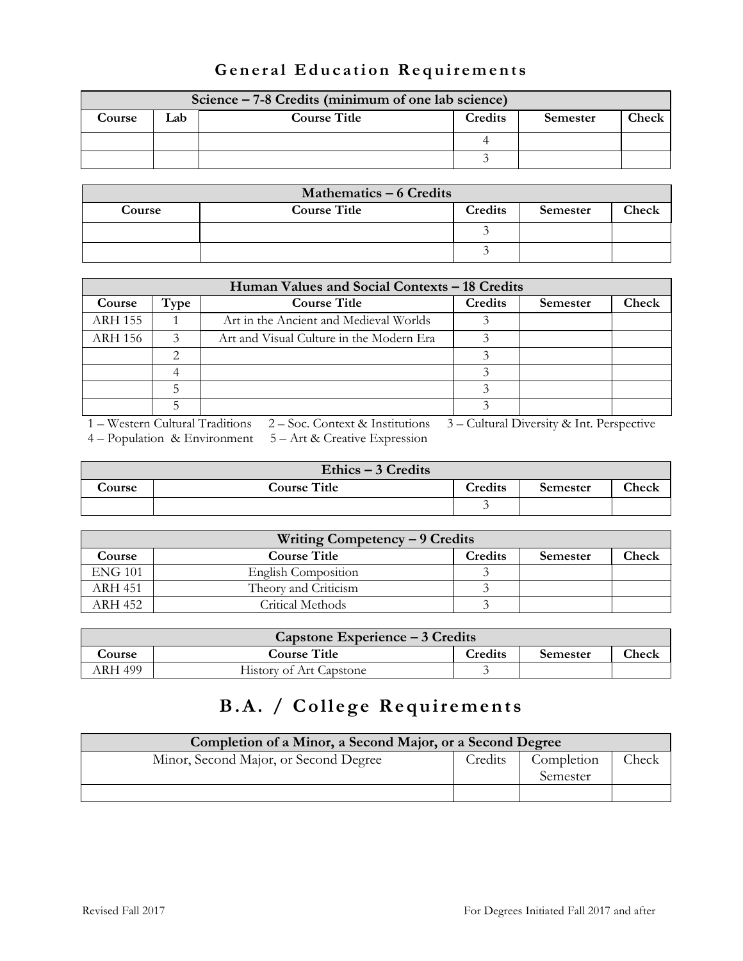| Science – 7-8 Credits (minimum of one lab science) |     |                     |         |          |       |
|----------------------------------------------------|-----|---------------------|---------|----------|-------|
| Course                                             | .ab | <b>Course Title</b> | Credits | Semester | Check |
|                                                    |     |                     |         |          |       |
|                                                    |     |                     |         |          |       |

### **General Education Requirements**

| Mathematics - 6 Credits |                     |         |                 |       |
|-------------------------|---------------------|---------|-----------------|-------|
| Course                  | <b>Course Title</b> | Credits | <b>Semester</b> | Check |
|                         |                     |         |                 |       |
|                         |                     |         |                 |       |

| Human Values and Social Contexts – 18 Credits |                    |                                          |         |                 |       |
|-----------------------------------------------|--------------------|------------------------------------------|---------|-----------------|-------|
| Course                                        | Type               | <b>Course Title</b>                      | Credits | <b>Semester</b> | Check |
| <b>ARH 155</b>                                |                    | Art in the Ancient and Medieval Worlds   |         |                 |       |
| <b>ARH 156</b>                                | $\mathbf{\hat{z}}$ | Art and Visual Culture in the Modern Era |         |                 |       |
|                                               | ⌒                  |                                          |         |                 |       |
|                                               |                    |                                          |         |                 |       |
|                                               |                    |                                          |         |                 |       |
|                                               |                    |                                          |         |                 |       |

1 – Western Cultural Traditions 2 – Soc. Context & Institutions 3 – Cultural Diversity & Int. Perspective

4 – Population & Environment 5 – Art & Creative Expression

| Ethics $-3$ Credits |                     |         |                 |       |
|---------------------|---------------------|---------|-----------------|-------|
| Course              | <b>Course Title</b> | Credits | <b>Semester</b> | Check |
|                     |                     |         |                 |       |

| Writing Competency – 9 Credits |                      |                |          |              |
|--------------------------------|----------------------|----------------|----------|--------------|
| <b>Course</b>                  | <b>Course Title</b>  | <b>Credits</b> | Semester | <b>Check</b> |
| <b>ENG 101</b>                 | English Composition  |                |          |              |
| ARH 451                        | Theory and Criticism |                |          |              |
| ARH 452                        | Critical Methods     |                |          |              |

| Capstone Experience – 3 Credits |                         |                |          |       |
|---------------------------------|-------------------------|----------------|----------|-------|
| Course                          | <b>Course Title</b>     | <b>Credits</b> | Semester | Check |
| ARH 499                         | History of Art Capstone |                |          |       |

# **B.A. / College Requirements**

| Completion of a Minor, a Second Major, or a Second Degree |         |            |       |  |
|-----------------------------------------------------------|---------|------------|-------|--|
| Minor, Second Major, or Second Degree                     | Credits | Completion | Check |  |
|                                                           |         | Semester   |       |  |
|                                                           |         |            |       |  |